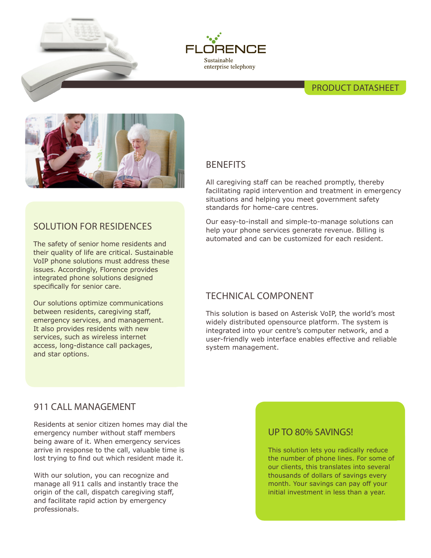



## PRODUCT DATASHEET



# SOLUTION FOR RESIDENCES

The safety of senior home residents and their quality of life are critical. Sustainable VoIP phone solutions must address these issues. Accordingly, Florence provides integrated phone solutions designed specifically for senior care.

Our solutions optimize communications between residents, caregiving staff, emergency services, and management. It also provides residents with new services, such as wireless internet access, long-distance call packages, and star options.

# **BENEFITS**

All caregiving staff can be reached promptly, thereby facilitating rapid intervention and treatment in emergency situations and helping you meet government safety standards for home-care centres.

Our easy-to-install and simple-to-manage solutions can help your phone services generate revenue. Billing is automated and can be customized for each resident.

# TECHNICAL COMPONENT

This solution is based on Asterisk VoIP, the world's most widely distributed opensource platform. The system is integrated into your centre's computer network, and a user-friendly web interface enables effective and reliable system management.

## 911 CALL MANAGEMENT

Residents at senior citizen homes may dial the emergency number without staff members being aware of it. When emergency services arrive in response to the call, valuable time is lost trying to find out which resident made it.

With our solution, you can recognize and manage all 911 calls and instantly trace the origin of the call, dispatch caregiving staff, and facilitate rapid action by emergency professionals.

### UP TO 80% SAVINGS!

This solution lets you radically reduce the number of phone lines. For some of our clients, this translates into several thousands of dollars of savings every month. Your savings can pay off your initial investment in less than a year.